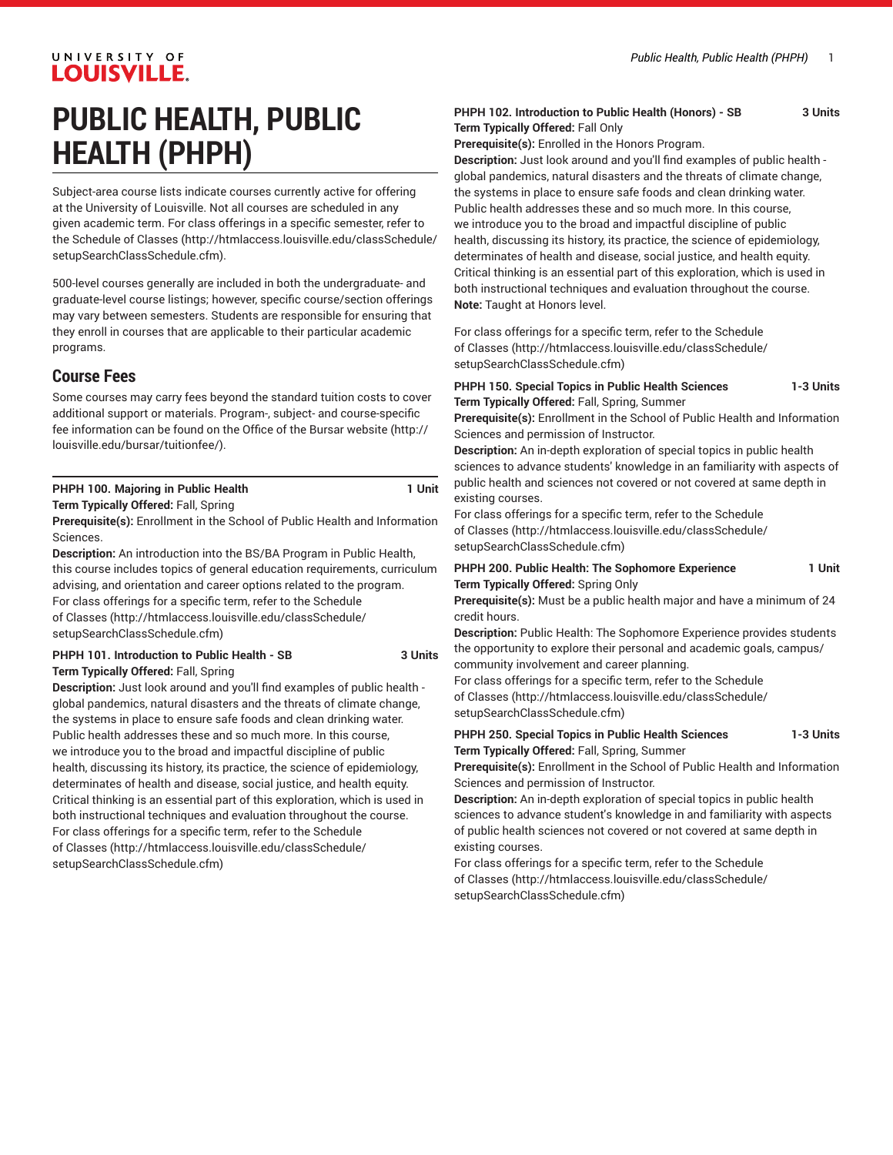# UNIVERSITY OF **LOUISVILLE.**

# **PUBLIC HEALTH, PUBLIC HEALTH (PHPH)**

Subject-area course lists indicate courses currently active for offering at the University of Louisville. Not all courses are scheduled in any given academic term. For class offerings in a specific semester, refer to the [Schedule of Classes](http://htmlaccess.louisville.edu/classSchedule/setupSearchClassSchedule.cfm) ([http://htmlaccess.louisville.edu/classSchedule/](http://htmlaccess.louisville.edu/classSchedule/setupSearchClassSchedule.cfm) [setupSearchClassSchedule.cfm\)](http://htmlaccess.louisville.edu/classSchedule/setupSearchClassSchedule.cfm).

500-level courses generally are included in both the undergraduate- and graduate-level course listings; however, specific course/section offerings may vary between semesters. Students are responsible for ensuring that they enroll in courses that are applicable to their particular academic programs.

## **Course Fees**

Some courses may carry fees beyond the standard tuition costs to cover additional support or materials. Program-, subject- and course-specific fee information can be found on the [Office of the Bursar website](http://louisville.edu/bursar/tuitionfee/) ([http://](http://louisville.edu/bursar/tuitionfee/) [louisville.edu/bursar/tuitionfee/](http://louisville.edu/bursar/tuitionfee/)).

#### **PHPH 100. Majoring in Public Health 1 Unit Term Typically Offered:** Fall, Spring

**Prerequisite(s):** Enrollment in the School of Public Health and Information Sciences.

**Description:** An introduction into the BS/BA Program in Public Health, this course includes topics of general education requirements, curriculum advising, and orientation and career options related to the program. For class offerings for a specific term, refer to the [Schedule](http://htmlaccess.louisville.edu/classSchedule/setupSearchClassSchedule.cfm) [of Classes \(http://htmlaccess.louisville.edu/classSchedule/](http://htmlaccess.louisville.edu/classSchedule/setupSearchClassSchedule.cfm) [setupSearchClassSchedule.cfm\)](http://htmlaccess.louisville.edu/classSchedule/setupSearchClassSchedule.cfm)

#### **PHPH 101. Introduction to Public Health - SB 3 Units Term Typically Offered:** Fall, Spring

**Description:** Just look around and you'll find examples of public health global pandemics, natural disasters and the threats of climate change, the systems in place to ensure safe foods and clean drinking water. Public health addresses these and so much more. In this course, we introduce you to the broad and impactful discipline of public health, discussing its history, its practice, the science of epidemiology, determinates of health and disease, social justice, and health equity. Critical thinking is an essential part of this exploration, which is used in both instructional techniques and evaluation throughout the course. For class offerings for a specific term, refer to the [Schedule](http://htmlaccess.louisville.edu/classSchedule/setupSearchClassSchedule.cfm) [of Classes \(http://htmlaccess.louisville.edu/classSchedule/](http://htmlaccess.louisville.edu/classSchedule/setupSearchClassSchedule.cfm) [setupSearchClassSchedule.cfm\)](http://htmlaccess.louisville.edu/classSchedule/setupSearchClassSchedule.cfm)

#### **PHPH 102. Introduction to Public Health (Honors) - SB 3 Units Term Typically Offered:** Fall Only

**Prerequisite(s):** Enrolled in the Honors Program.

**Description:** Just look around and you'll find examples of public health global pandemics, natural disasters and the threats of climate change, the systems in place to ensure safe foods and clean drinking water. Public health addresses these and so much more. In this course, we introduce you to the broad and impactful discipline of public health, discussing its history, its practice, the science of epidemiology, determinates of health and disease, social justice, and health equity. Critical thinking is an essential part of this exploration, which is used in both instructional techniques and evaluation throughout the course. **Note:** Taught at Honors level.

For class offerings for a specific term, refer to the [Schedule](http://htmlaccess.louisville.edu/classSchedule/setupSearchClassSchedule.cfm) [of Classes](http://htmlaccess.louisville.edu/classSchedule/setupSearchClassSchedule.cfm) ([http://htmlaccess.louisville.edu/classSchedule/](http://htmlaccess.louisville.edu/classSchedule/setupSearchClassSchedule.cfm) [setupSearchClassSchedule.cfm\)](http://htmlaccess.louisville.edu/classSchedule/setupSearchClassSchedule.cfm)

**PHPH 150. Special Topics in Public Health Sciences 1-3 Units Term Typically Offered:** Fall, Spring, Summer

**Prerequisite(s):** Enrollment in the School of Public Health and Information Sciences and permission of Instructor.

**Description:** An in-depth exploration of special topics in public health sciences to advance students' knowledge in an familiarity with aspects of public health and sciences not covered or not covered at same depth in existing courses.

For class offerings for a specific term, refer to the [Schedule](http://htmlaccess.louisville.edu/classSchedule/setupSearchClassSchedule.cfm) [of Classes](http://htmlaccess.louisville.edu/classSchedule/setupSearchClassSchedule.cfm) ([http://htmlaccess.louisville.edu/classSchedule/](http://htmlaccess.louisville.edu/classSchedule/setupSearchClassSchedule.cfm) [setupSearchClassSchedule.cfm\)](http://htmlaccess.louisville.edu/classSchedule/setupSearchClassSchedule.cfm)

PHPH 200. Public Health: The Sophomore Experience 1 Unit **Term Typically Offered:** Spring Only

**Prerequisite(s):** Must be a public health major and have a minimum of 24 credit hours.

**Description:** Public Health: The Sophomore Experience provides students the opportunity to explore their personal and academic goals, campus/ community involvement and career planning.

For class offerings for a specific term, refer to the [Schedule](http://htmlaccess.louisville.edu/classSchedule/setupSearchClassSchedule.cfm) [of Classes](http://htmlaccess.louisville.edu/classSchedule/setupSearchClassSchedule.cfm) ([http://htmlaccess.louisville.edu/classSchedule/](http://htmlaccess.louisville.edu/classSchedule/setupSearchClassSchedule.cfm) [setupSearchClassSchedule.cfm\)](http://htmlaccess.louisville.edu/classSchedule/setupSearchClassSchedule.cfm)

#### **PHPH 250. Special Topics in Public Health Sciences 1-3 Units Term Typically Offered:** Fall, Spring, Summer

**Prerequisite(s):** Enrollment in the School of Public Health and Information Sciences and permission of Instructor.

**Description:** An in-depth exploration of special topics in public health sciences to advance student's knowledge in and familiarity with aspects of public health sciences not covered or not covered at same depth in existing courses.

For class offerings for a specific term, refer to the [Schedule](http://htmlaccess.louisville.edu/classSchedule/setupSearchClassSchedule.cfm) [of Classes](http://htmlaccess.louisville.edu/classSchedule/setupSearchClassSchedule.cfm) ([http://htmlaccess.louisville.edu/classSchedule/](http://htmlaccess.louisville.edu/classSchedule/setupSearchClassSchedule.cfm) [setupSearchClassSchedule.cfm\)](http://htmlaccess.louisville.edu/classSchedule/setupSearchClassSchedule.cfm)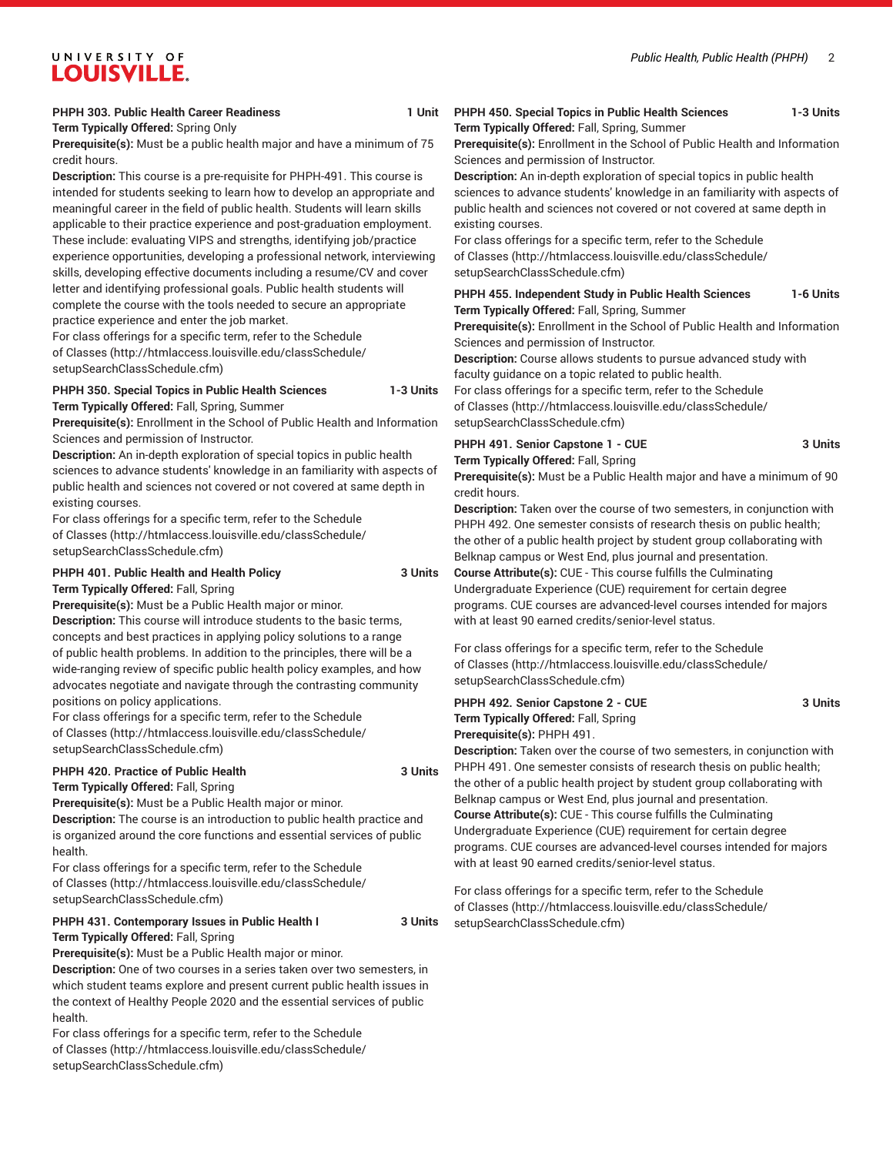# UNIVERSITY OF **LOUISVILLE.**

#### **PHPH 303. Public Health Career Readiness 1 Unit**

**Term Typically Offered:** Spring Only

**Prerequisite(s):** Must be a public health major and have a minimum of 75 credit hours.

**Description:** This course is a pre-requisite for PHPH-491. This course is intended for students seeking to learn how to develop an appropriate and meaningful career in the field of public health. Students will learn skills applicable to their practice experience and post-graduation employment. These include: evaluating VIPS and strengths, identifying job/practice experience opportunities, developing a professional network, interviewing skills, developing effective documents including a resume/CV and cover letter and identifying professional goals. Public health students will complete the course with the tools needed to secure an appropriate practice experience and enter the job market.

For class offerings for a specific term, refer to the [Schedule](http://htmlaccess.louisville.edu/classSchedule/setupSearchClassSchedule.cfm) [of Classes \(http://htmlaccess.louisville.edu/classSchedule/](http://htmlaccess.louisville.edu/classSchedule/setupSearchClassSchedule.cfm) [setupSearchClassSchedule.cfm\)](http://htmlaccess.louisville.edu/classSchedule/setupSearchClassSchedule.cfm)

#### **PHPH 350. Special Topics in Public Health Sciences 1-3 Units Term Typically Offered:** Fall, Spring, Summer

**Prerequisite(s):** Enrollment in the School of Public Health and Information Sciences and permission of Instructor.

**Description:** An in-depth exploration of special topics in public health sciences to advance students' knowledge in an familiarity with aspects of public health and sciences not covered or not covered at same depth in existing courses.

For class offerings for a specific term, refer to the [Schedule](http://htmlaccess.louisville.edu/classSchedule/setupSearchClassSchedule.cfm) [of Classes \(http://htmlaccess.louisville.edu/classSchedule/](http://htmlaccess.louisville.edu/classSchedule/setupSearchClassSchedule.cfm) [setupSearchClassSchedule.cfm\)](http://htmlaccess.louisville.edu/classSchedule/setupSearchClassSchedule.cfm)

**PHPH 401. Public Health and Health Policy 3 Units Term Typically Offered:** Fall, Spring

**Prerequisite(s):** Must be a Public Health major or minor.

**Description:** This course will introduce students to the basic terms, concepts and best practices in applying policy solutions to a range of public health problems. In addition to the principles, there will be a wide-ranging review of specific public health policy examples, and how advocates negotiate and navigate through the contrasting community positions on policy applications.

For class offerings for a specific term, refer to the [Schedule](http://htmlaccess.louisville.edu/classSchedule/setupSearchClassSchedule.cfm) [of Classes \(http://htmlaccess.louisville.edu/classSchedule/](http://htmlaccess.louisville.edu/classSchedule/setupSearchClassSchedule.cfm) [setupSearchClassSchedule.cfm\)](http://htmlaccess.louisville.edu/classSchedule/setupSearchClassSchedule.cfm)

# **PHPH 420. Practice of Public Health 3 Units**

**Term Typically Offered:** Fall, Spring

**Prerequisite(s):** Must be a Public Health major or minor.

**Description:** The course is an introduction to public health practice and is organized around the core functions and essential services of public health.

For class offerings for a specific term, refer to the [Schedule](http://htmlaccess.louisville.edu/classSchedule/setupSearchClassSchedule.cfm) [of Classes \(http://htmlaccess.louisville.edu/classSchedule/](http://htmlaccess.louisville.edu/classSchedule/setupSearchClassSchedule.cfm) [setupSearchClassSchedule.cfm\)](http://htmlaccess.louisville.edu/classSchedule/setupSearchClassSchedule.cfm)

#### **PHPH 431. Contemporary Issues in Public Health I 3 Units Term Typically Offered:** Fall, Spring

**Prerequisite(s):** Must be a Public Health major or minor.

**Description:** One of two courses in a series taken over two semesters, in which student teams explore and present current public health issues in the context of Healthy People 2020 and the essential services of public health.

For class offerings for a specific term, refer to the [Schedule](http://htmlaccess.louisville.edu/classSchedule/setupSearchClassSchedule.cfm) [of Classes \(http://htmlaccess.louisville.edu/classSchedule/](http://htmlaccess.louisville.edu/classSchedule/setupSearchClassSchedule.cfm) [setupSearchClassSchedule.cfm\)](http://htmlaccess.louisville.edu/classSchedule/setupSearchClassSchedule.cfm)

### **PHPH 450. Special Topics in Public Health Sciences 1-3 Units Term Typically Offered:** Fall, Spring, Summer

**Prerequisite(s):** Enrollment in the School of Public Health and Information Sciences and permission of Instructor.

**Description:** An in-depth exploration of special topics in public health sciences to advance students' knowledge in an familiarity with aspects of public health and sciences not covered or not covered at same depth in existing courses.

For class offerings for a specific term, refer to the [Schedule](http://htmlaccess.louisville.edu/classSchedule/setupSearchClassSchedule.cfm) [of Classes](http://htmlaccess.louisville.edu/classSchedule/setupSearchClassSchedule.cfm) ([http://htmlaccess.louisville.edu/classSchedule/](http://htmlaccess.louisville.edu/classSchedule/setupSearchClassSchedule.cfm) [setupSearchClassSchedule.cfm\)](http://htmlaccess.louisville.edu/classSchedule/setupSearchClassSchedule.cfm)

#### **PHPH 455. Independent Study in Public Health Sciences 1-6 Units Term Typically Offered:** Fall, Spring, Summer

**Prerequisite(s):** Enrollment in the School of Public Health and Information Sciences and permission of Instructor.

**Description:** Course allows students to pursue advanced study with faculty guidance on a topic related to public health.

For class offerings for a specific term, refer to the [Schedule](http://htmlaccess.louisville.edu/classSchedule/setupSearchClassSchedule.cfm) [of Classes](http://htmlaccess.louisville.edu/classSchedule/setupSearchClassSchedule.cfm) ([http://htmlaccess.louisville.edu/classSchedule/](http://htmlaccess.louisville.edu/classSchedule/setupSearchClassSchedule.cfm) [setupSearchClassSchedule.cfm\)](http://htmlaccess.louisville.edu/classSchedule/setupSearchClassSchedule.cfm)

#### **PHPH 491. Senior Capstone 1 - CUE 3 Units Term Typically Offered:** Fall, Spring

**Prerequisite(s):** Must be a Public Health major and have a minimum of 90 credit hours.

**Description:** Taken over the course of two semesters, in conjunction with PHPH 492. One semester consists of research thesis on public health; the other of a public health project by student group collaborating with Belknap campus or West End, plus journal and presentation.

**Course Attribute(s):** CUE - This course fulfills the Culminating Undergraduate Experience (CUE) requirement for certain degree programs. CUE courses are advanced-level courses intended for majors with at least 90 earned credits/senior-level status.

For class offerings for a specific term, refer to the [Schedule](http://htmlaccess.louisville.edu/classSchedule/setupSearchClassSchedule.cfm) [of Classes](http://htmlaccess.louisville.edu/classSchedule/setupSearchClassSchedule.cfm) ([http://htmlaccess.louisville.edu/classSchedule/](http://htmlaccess.louisville.edu/classSchedule/setupSearchClassSchedule.cfm) [setupSearchClassSchedule.cfm\)](http://htmlaccess.louisville.edu/classSchedule/setupSearchClassSchedule.cfm)

PHPH 492. Senior Capstone 2 - CUE 3 Units **Term Typically Offered:** Fall, Spring **Prerequisite(s):** PHPH 491.

**Description:** Taken over the course of two semesters, in conjunction with PHPH 491. One semester consists of research thesis on public health; the other of a public health project by student group collaborating with Belknap campus or West End, plus journal and presentation. **Course Attribute(s):** CUE - This course fulfills the Culminating Undergraduate Experience (CUE) requirement for certain degree programs. CUE courses are advanced-level courses intended for majors with at least 90 earned credits/senior-level status.

For class offerings for a specific term, refer to the [Schedule](http://htmlaccess.louisville.edu/classSchedule/setupSearchClassSchedule.cfm) [of Classes](http://htmlaccess.louisville.edu/classSchedule/setupSearchClassSchedule.cfm) ([http://htmlaccess.louisville.edu/classSchedule/](http://htmlaccess.louisville.edu/classSchedule/setupSearchClassSchedule.cfm) [setupSearchClassSchedule.cfm\)](http://htmlaccess.louisville.edu/classSchedule/setupSearchClassSchedule.cfm)